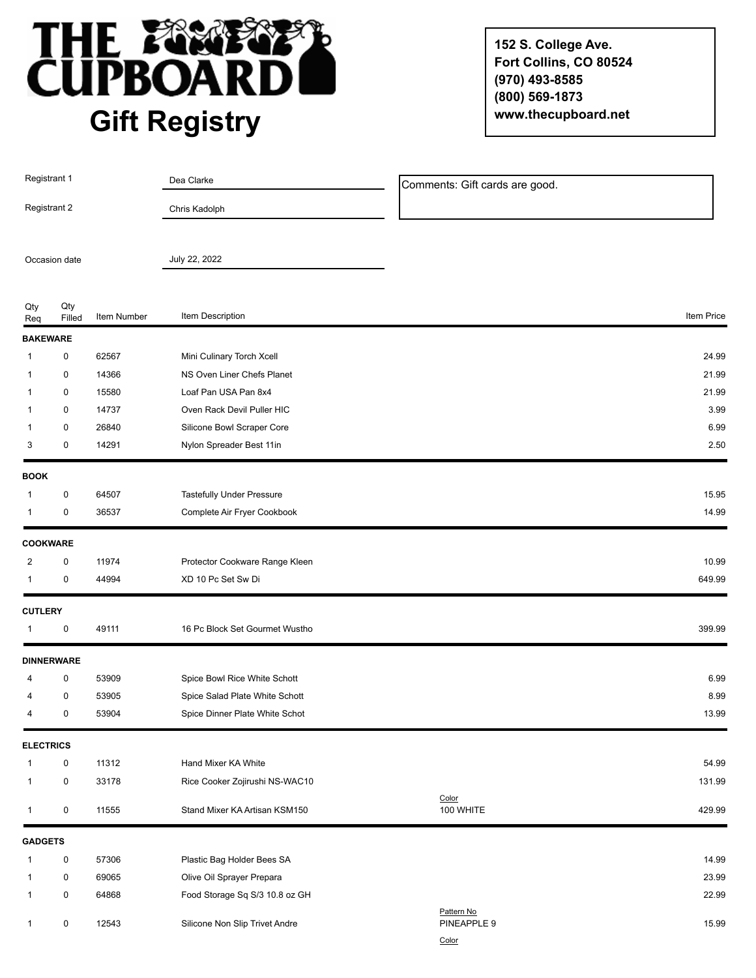

**152 S. College Ave. Fort Collins, CO 80524 (970) 493-8585 (800) 569-1873 www.thecupboard.net**

| Registrant 1     |                   |             | Dea Clarke                     | Comments: Gift cards are good. |            |
|------------------|-------------------|-------------|--------------------------------|--------------------------------|------------|
| Registrant 2     |                   |             | Chris Kadolph                  |                                |            |
| Occasion date    |                   |             | July 22, 2022                  |                                |            |
|                  |                   |             |                                |                                |            |
| Qty<br>Req       | Qty<br>Filled     | Item Number | Item Description               |                                | Item Price |
| <b>BAKEWARE</b>  |                   |             |                                |                                |            |
| 1                | 0                 | 62567       | Mini Culinary Torch Xcell      |                                | 24.99      |
| 1                | 0                 | 14366       | NS Oven Liner Chefs Planet     |                                | 21.99      |
| 1                | 0                 | 15580       | Loaf Pan USA Pan 8x4           |                                | 21.99      |
| 1                | 0                 | 14737       | Oven Rack Devil Puller HIC     |                                | 3.99       |
| 1                | 0                 | 26840       | Silicone Bowl Scraper Core     |                                | 6.99       |
| 3                | 0                 | 14291       | Nylon Spreader Best 11in       |                                | 2.50       |
| <b>BOOK</b>      |                   |             |                                |                                |            |
| 1                | 0                 | 64507       | Tastefully Under Pressure      |                                | 15.95      |
| 1                | 0                 | 36537       | Complete Air Fryer Cookbook    |                                | 14.99      |
|                  | <b>COOKWARE</b>   |             |                                |                                |            |
| 2                | 0                 | 11974       | Protector Cookware Range Kleen |                                | 10.99      |
| 1                | 0                 | 44994       | XD 10 Pc Set Sw Di             |                                | 649.99     |
| <b>CUTLERY</b>   |                   |             |                                |                                |            |
| 1                | 0                 | 49111       | 16 Pc Block Set Gourmet Wustho |                                | 399.99     |
|                  | <b>DINNERWARE</b> |             |                                |                                |            |
| 4                | 0                 | 53909       | Spice Bowl Rice White Schott   |                                | 6.99       |
| 4                | 0                 | 53905       | Spice Salad Plate White Schott |                                | 8.99       |
| 4                | 0                 | 53904       | Spice Dinner Plate White Schot |                                | 13.99      |
| <b>ELECTRICS</b> |                   |             |                                |                                |            |
| 1                | 0                 | 11312       | Hand Mixer KA White            |                                | 54.99      |
| 1                | 0                 | 33178       | Rice Cooker Zojirushi NS-WAC10 |                                | 131.99     |
| 1                | 0                 | 11555       | Stand Mixer KA Artisan KSM150  | Color<br>100 WHITE             | 429.99     |
| <b>GADGETS</b>   |                   |             |                                |                                |            |
| 1                | 0                 | 57306       | Plastic Bag Holder Bees SA     |                                | 14.99      |
| 1                | 0                 | 69065       | Olive Oil Sprayer Prepara      |                                | 23.99      |
| 1                | 0                 | 64868       | Food Storage Sq S/3 10.8 oz GH |                                | 22.99      |
| 1                | 0                 | 12543       | Silicone Non Slip Trivet Andre | Pattern No<br>PINEAPPLE 9      | 15.99      |
|                  |                   |             |                                | Color                          |            |